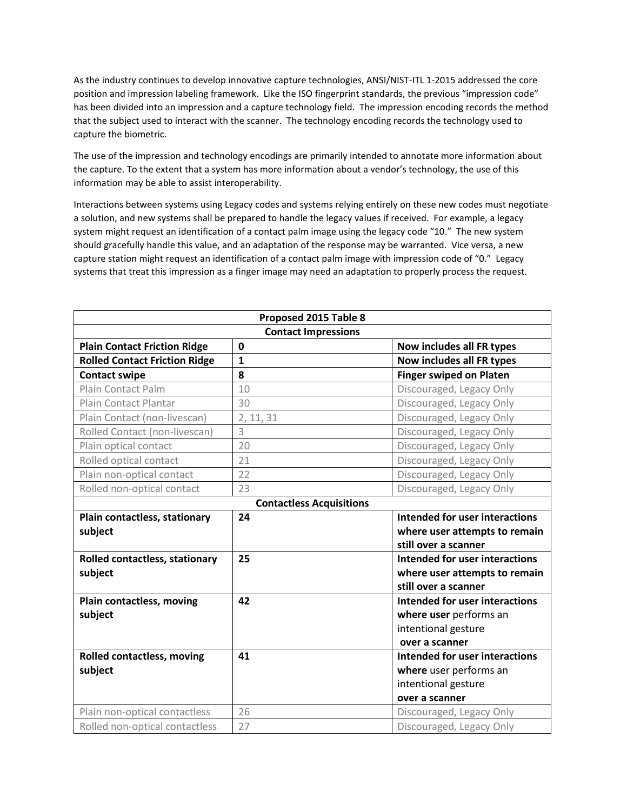As the industry continues to develop innovative capture technologies, ANSI/NIST-ITL 1-2015 addressed the core position and impression labeling framework. Like the ISO fingerprint standards, the previous "impression code" has been divided into an impression and a capture technology field. The impression encoding records the method that the subject used to interact with the scanner. The technology encoding records the technology used to capture the biometric.

The use of the impression and technology encodings are primarily intended to annotate more information about the capture. To the extent that a system has more information about a vendor's technology, the use of this information may be able to assist interoperability.

Interactions between systems using Legacy codes and systems relying entirely on these new codes must negotiate a solution, and new systems shall be prepared to handle the legacy values if received. For example, a legacy system might request an identification of a contact palm image using the legacy code "10." The new system should gracefully handle this value, and an adaptation of the response may be warranted. Vice versa, a new capture station might request an identification of a contact palm image with impression code of "0." Legacy systems that treat this impression as a finger image may need an adaptation to properly process the request.

| Proposed 2015 Table 8                |              |                                       |  |
|--------------------------------------|--------------|---------------------------------------|--|
| <b>Contact Impressions</b>           |              |                                       |  |
| <b>Plain Contact Friction Ridge</b>  | 0            | Now includes all FR types             |  |
| <b>Rolled Contact Friction Ridge</b> | $\mathbf{1}$ | Now includes all FR types             |  |
| <b>Contact swipe</b>                 | 8            | <b>Finger swiped on Platen</b>        |  |
| Plain Contact Palm                   | 10           | Discouraged, Legacy Only              |  |
| Plain Contact Plantar                | 30           | Discouraged, Legacy Only              |  |
| Plain Contact (non-livescan)         | 2, 11, 31    | Discouraged, Legacy Only              |  |
| Rolled Contact (non-livescan)        | 3            | Discouraged, Legacy Only              |  |
| Plain optical contact                | 20           | Discouraged, Legacy Only              |  |
| Rolled optical contact               | 21           | Discouraged, Legacy Only              |  |
| Plain non-optical contact            | 22           | Discouraged, Legacy Only              |  |
| Rolled non-optical contact           | 23           | Discouraged, Legacy Only              |  |
| <b>Contactless Acquisitions</b>      |              |                                       |  |
| Plain contactless, stationary        | 24           | <b>Intended for user interactions</b> |  |
| subject                              |              | where user attempts to remain         |  |
|                                      |              | still over a scanner                  |  |
| Rolled contactless, stationary       | 25           | <b>Intended for user interactions</b> |  |
| subject                              |              | where user attempts to remain         |  |
|                                      |              | still over a scanner                  |  |
| Plain contactless, moving            | 42           | Intended for user interactions        |  |
| subject                              |              | where user performs an                |  |
|                                      |              | intentional gesture                   |  |
|                                      |              | over a scanner                        |  |
| <b>Rolled contactless, moving</b>    | 41           | <b>Intended for user interactions</b> |  |
| subject                              |              | where user performs an                |  |
|                                      |              | intentional gesture                   |  |
|                                      |              | over a scanner                        |  |
| Plain non-optical contactless        | 26           | Discouraged, Legacy Only              |  |
| Rolled non-optical contactless       | 27           | Discouraged, Legacy Only              |  |